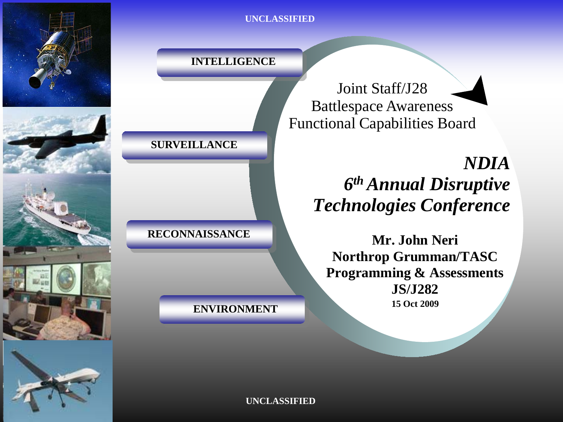

**INTELLIGENCE**

Joint Staff/J28 Battlespace Awareness Functional Capabilities Board

> *NDIA 6th Annual Disruptive Technologies Conference*

**Mr. John Neri Northrop Grumman/TASC Programming & Assessments JS/J282 15 Oct 2009**

**UNCLASSIFIED**

**ENVIRONMENT**

**RECONNAISSANCE**

**SURVEILLANCE**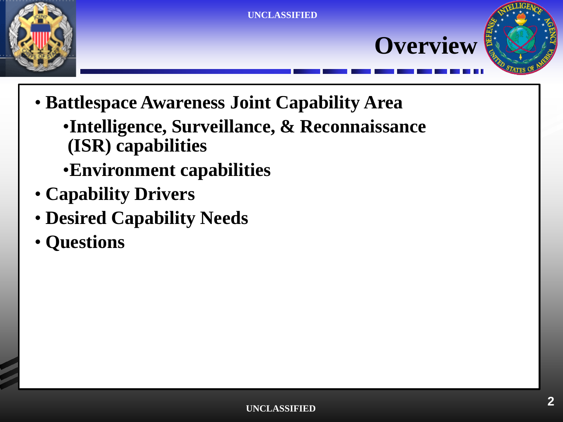





- Datuespace Awareness John Capability<br>Intolligance Survoillance & Decem • **Battlespace Awareness Joint Capability Area**
- (ISR) capabilities •**Intelligence, Surveillance, & Reconnaissance**
- Environment capabilities
- **Capability Drivers**
- Desired Capability Needs
- Questions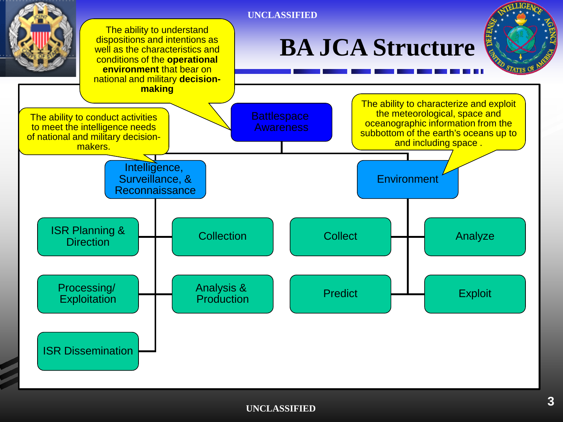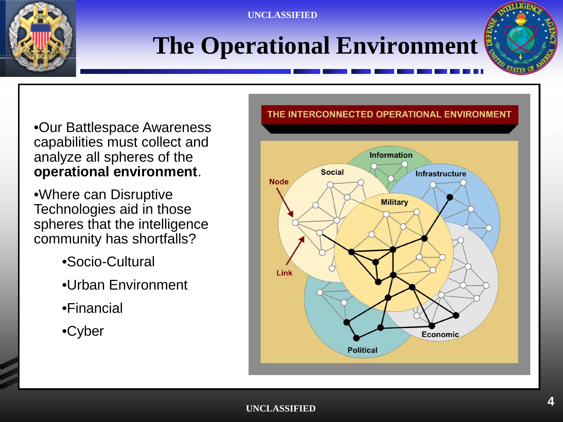

# **The Operational Environment**



• Cur Pottlespees Awerenese capabilities must collect and<br>analyze all spheres of the operational environment. •Our Battlespace Awareness analyze all spheres of the

Technologies aid in those community has shortfalls? •Where can Disruptive spheres that the intelligence

- •Socio-Cultural
- •Urban Environment
- •Financial
- •Cyber

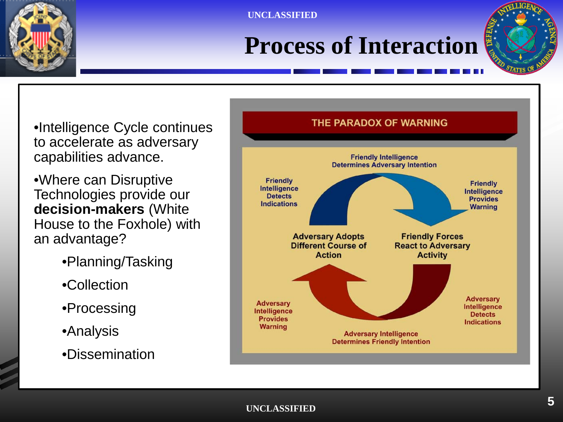

## **Process of Interaction**



to accelerate as adversary<br>canabilities advance •Intelligence Cycle continues capabilities advance.

•Where can Disruptive **decision-makers** (White an advantage? Technologies provide our House to the Foxhole) with

- •Planning/Tasking
- •Collection
- •Processing
- •Analysis
- •Dissemination

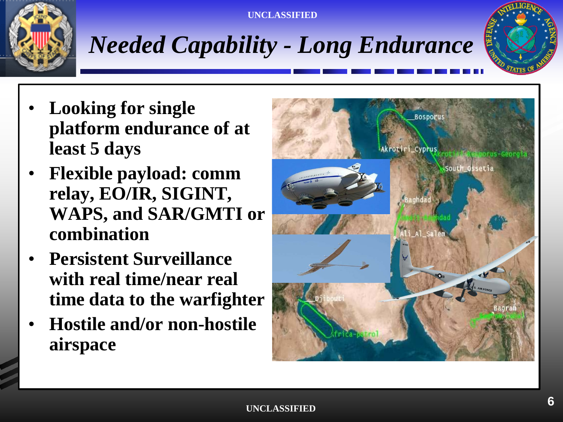



- Looking for single **but for styles** least 5 days **platform endurance of at**
- Flexible payload: comm WAPS, and SAR/GMTI or **combination relay, EO/IR, SIGINT,**
- **Persistent Surveillance with real time/near real time data to the warfighter**
- **Hostile and/or non-hostile airspace**

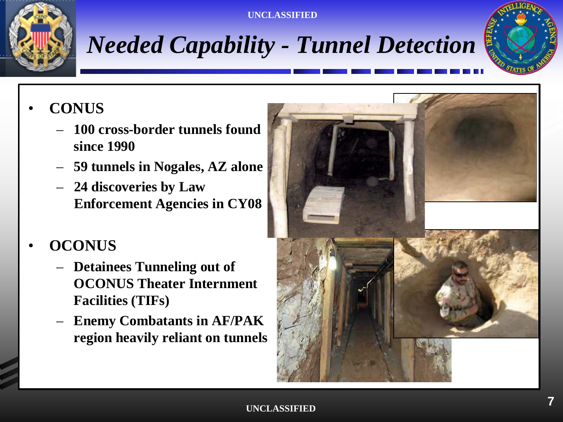



### • **CONUS**

- **since 1990** – **100 cross-border tunnels found** 
	- **59 tunnels in Nogales, AZ alone**
- Third level **24 discoveries by Law Enforcement Agencies in CY08**

### • **OCONUS**

- **Detainees Tunneling out of OCONUS Theater Internment Facilities (TIFs)**
- **Enemy Combatants in AF/PAK region heavily reliant on tunnels**

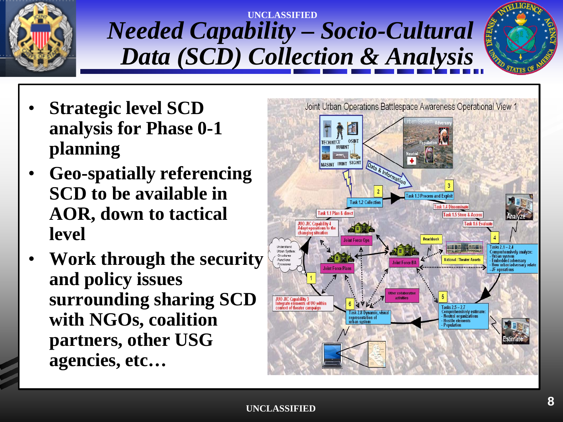

### **UNCLASSIFIED** *Needed Capability – Socio-Cultural Data (SCD) Collection & Analysis*



- **Strategic level SCD bounded bounded bounded concluded concluded concluded for Places 0.1** planning **analysis for Phase 0-1**
- Geo-spatially referencing **AOR, down to tactical** • Fifth level **SCD to be available in level**
- **Work through the security and policy issues surrounding sharing SCD with NGOs, coalition partners, other USG agencies, etc…**

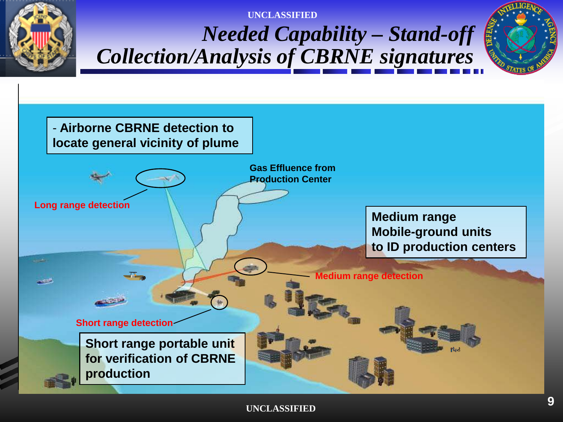



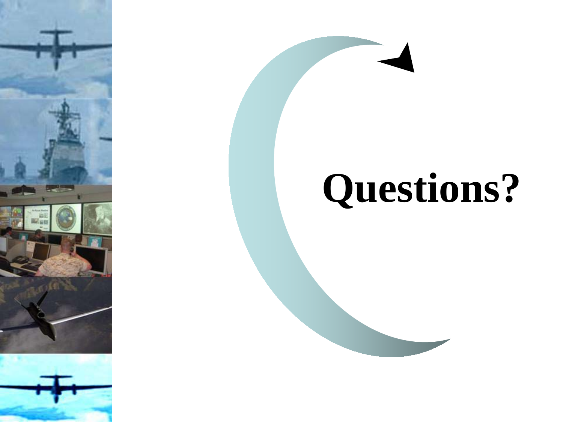





**Figure 1999** 

 $\mathcal{F}$ 

 $\mathbf{P}$ 

 $\blacksquare$  CD

• Fifth level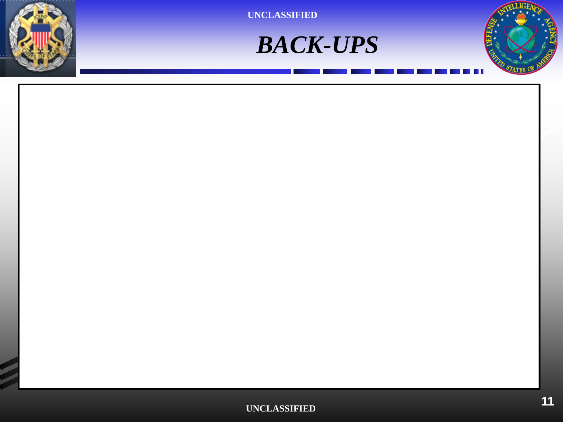



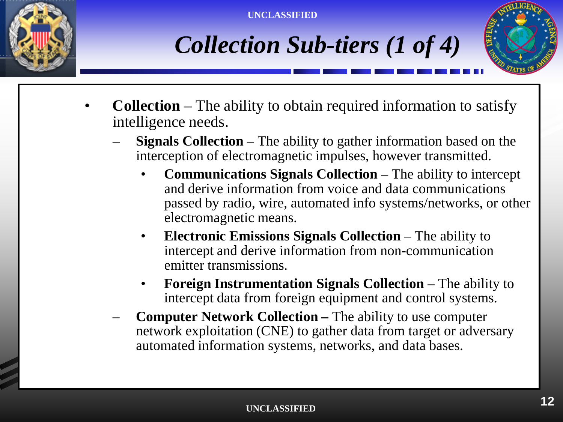





- **Collection** The ability to obtain required information to satisfy intelligence needs. intelligence needs.
- **Signals Collection** The ability to gather information based on the intercention of electromagnetic impulses, however transmitted interception of electromagnetic impulses, however transmitted.
- $\bullet$   $\bullet$ e a se de la partida de la partida de la contrada de la contrada de la contrada de la contrada de la contrada<br>En el contrada de la contrada de la contrada de la contrada de la contrada de la contrada de la contrada de la • **Communications Signals Collection** – The ability to intercept and derive information from voice and data communications passed by radio, wire, automated info systems/networks, or other electromagnetic means.
- $\bullet$ • **Electronic Emissions Signals Collection** – The ability to intercept and derive information from non-communication emitter transmissions.
	- **Foreign Instrumentation Signals Collection**  The ability to intercept data from foreign equipment and control systems.
	- **Computer Network Collection –** The ability to use computer network exploitation (CNE) to gather data from target or adversary automated information systems, networks, and data bases.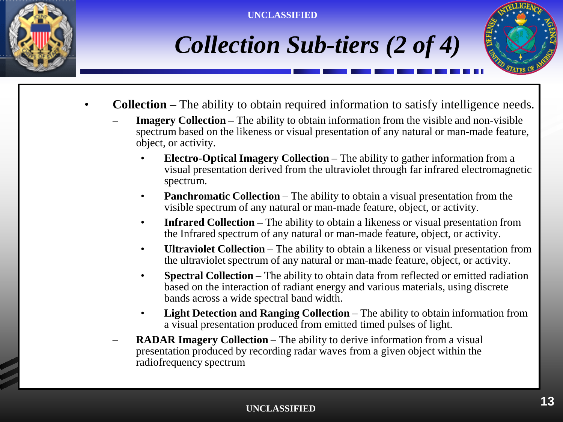





- **Collection**  The ability to obtain required information to satisfy intelligence needs.
- Collection The ability to obtain required information to satisfy intelligence need<br>— **Imagery Collection** The ability to obtain information from the visible and non-visible object, or activity. spectrum based on the likeness or visual presentation of any natural or man-made feature,
- Third level • **Electro-Optical Imagery Collection** – The ability to gather information from a visual presentation derived from the ultraviolet through far infrared electromagnetic spectrum.
- e<br>vis<br>**•** Ind • **Panchromatic Collection** – The ability to obtain a visual presentation from the visible spectrum of any natural or man-made feature, object, or activity.
	- **Infrared Collection** The ability to obtain a likeness or visual presentation from the Infrared spectrum of any natural or man-made feature, object, or activity.
- $\bullet$ • **Ultraviolet Collection** – The ability to obtain a likeness or visual presentation from the ultraviolet spectrum of any natural or man-made feature, object, or activity.
	- **Spectral Collection** The ability to obtain data from reflected or emitted radiation based on the interaction of radiant energy and various materials, using discrete bands across a wide spectral band width.
	- **Light Detection and Ranging Collection** The ability to obtain information from a visual presentation produced from emitted timed pulses of light.
	- **RADAR Imagery Collection** The ability to derive information from a visual presentation produced by recording radar waves from a given object within the radiofrequency spectrum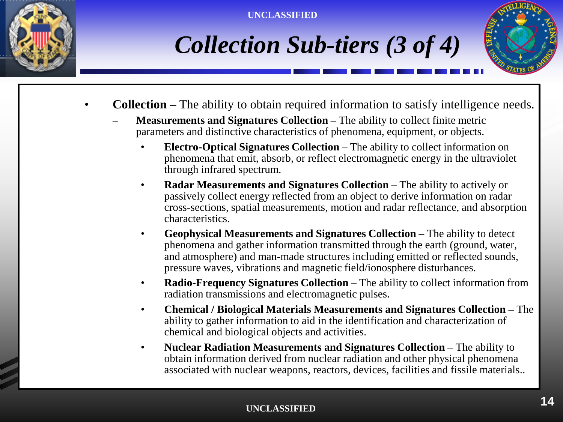





- **Collection**  The ability to obtain required information to satisfy intelligence needs.
- Collection The ability to obtain required information to satisfy intelligen<br>— Measurements and Signatures Collection The ability to collect finite metric parameters and distinctive characteristics of phenomena, equipment, or objects.
- extended:<br>Blec • **Electro-Optical Signatures Collection** – The ability to collect information on phenomena that emit, absorb, or reflect electromagnetic energy in the ultraviolet through infrared spectrum.
- $\mathbf{e}$ europeus<br>
erc<br>
cha • **Radar Measurements and Signatures Collection** – The ability to actively or passively collect energy reflected from an object to derive information on radar cross-sections, spatial measurements, motion and radar reflectance, and absorption characteristics.
- $\bullet$   $\bullet$ • **Geophysical Measurements and Signatures Collection** – The ability to detect phenomena and gather information transmitted through the earth (ground, water, and atmosphere) and man-made structures including emitted or reflected sounds, pressure waves, vibrations and magnetic field/ionosphere disturbances.
	- **Radio-Frequency Signatures Collection** The ability to collect information from radiation transmissions and electromagnetic pulses.
	- **Chemical / Biological Materials Measurements and Signatures Collection** The ability to gather information to aid in the identification and characterization of chemical and biological objects and activities.
	- **Nuclear Radiation Measurements and Signatures Collection** The ability to obtain information derived from nuclear radiation and other physical phenomena associated with nuclear weapons, reactors, devices, facilities and fissile materials..